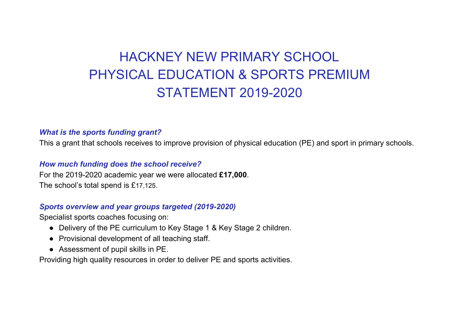# HACKNEY NEW PRIMARY SCHOOL PHYSICAL EDUCATION & SPORTS PREMIUM STATEMENT 2019-2020

## *What is the sports funding grant?*

This a grant that schools receives to improve provision of physical education (PE) and sport in primary schools.

## *How much funding does the school receive?*

For the 2019-2020 academic year we were allocated **£17,000**. The school's total spend is £17,125.

## *Sports overview and year groups targeted (2019-2020)*

Specialist sports coaches focusing on:

- Delivery of the PE curriculum to Key Stage 1 & Key Stage 2 children.
- Provisional development of all teaching staff.
- Assessment of pupil skills in PE.

Providing high quality resources in order to deliver PE and sports activities.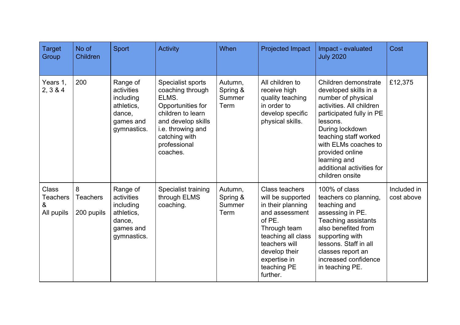| <b>Target</b><br>Group                             | No of<br>Children                  | <b>Sport</b>                                                                            | <b>Activity</b>                                                                                                                                                                  | When                                  | <b>Projected Impact</b>                                                                                                                                                                                        | Impact - evaluated<br><b>July 2020</b>                                                                                                                                                                                                                                                         | Cost                      |
|----------------------------------------------------|------------------------------------|-----------------------------------------------------------------------------------------|----------------------------------------------------------------------------------------------------------------------------------------------------------------------------------|---------------------------------------|----------------------------------------------------------------------------------------------------------------------------------------------------------------------------------------------------------------|------------------------------------------------------------------------------------------------------------------------------------------------------------------------------------------------------------------------------------------------------------------------------------------------|---------------------------|
| Years 1.<br>2, 3 & 4                               | 200                                | Range of<br>activities<br>including<br>athletics,<br>dance,<br>games and<br>gymnastics. | Specialist sports<br>coaching through<br>ELMS.<br>Opportunities for<br>children to learn<br>and develop skills<br>i.e. throwing and<br>catching with<br>professional<br>coaches. | Autumn,<br>Spring &<br>Summer<br>Term | All children to<br>receive high<br>quality teaching<br>in order to<br>develop specific<br>physical skills.                                                                                                     | Children demonstrate<br>developed skills in a<br>number of physical<br>activities. All children<br>participated fully in PE<br>lessons.<br>During lockdown<br>teaching staff worked<br>with ELMs coaches to<br>provided online<br>learning and<br>additional activities for<br>children onsite | £12,375                   |
| <b>Class</b><br><b>Teachers</b><br>&<br>All pupils | 8<br><b>Teachers</b><br>200 pupils | Range of<br>activities<br>including<br>athletics,<br>dance,<br>games and<br>gymnastics. | Specialist training<br>through ELMS<br>coaching.                                                                                                                                 | Autumn,<br>Spring &<br>Summer<br>Term | <b>Class teachers</b><br>will be supported<br>in their planning<br>and assessment<br>of PE.<br>Through team<br>teaching all class<br>teachers will<br>develop their<br>expertise in<br>teaching PE<br>further. | 100% of class<br>teachers co planning,<br>teaching and<br>assessing in PE.<br><b>Teaching assistants</b><br>also benefited from<br>supporting with<br>lessons. Staff in all<br>classes report an<br>increased confidence<br>in teaching PE.                                                    | Included in<br>cost above |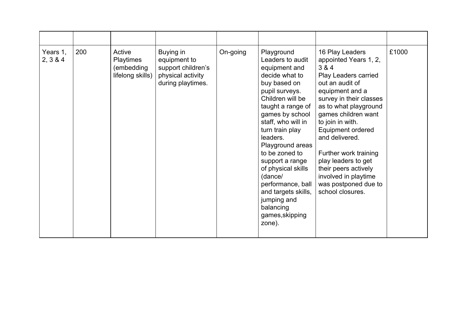| Years 1,<br>2, 3 & 4 | 200 | Active<br><b>Playtimes</b><br>(embedding<br>lifelong skills) | Buying in<br>equipment to<br>support children's<br>physical activity<br>during playtimes. | On-going | Playground<br>Leaders to audit<br>equipment and<br>decide what to<br>buy based on<br>pupil surveys.<br>Children will be<br>taught a range of<br>games by school<br>staff, who will in<br>turn train play<br>leaders.<br>Playground areas<br>to be zoned to<br>support a range<br>of physical skills<br>(dance/<br>performance, ball<br>and targets skills,<br>jumping and<br>balancing<br>games, skipping<br>zone). | 16 Play Leaders<br>appointed Years 1, 2,<br>3 & 4<br>Play Leaders carried<br>out an audit of<br>equipment and a<br>survey in their classes<br>as to what playground<br>games children want<br>to join in with.<br>Equipment ordered<br>and delivered.<br>Further work training<br>play leaders to get<br>their peers actively<br>involved in playtime<br>was postponed due to<br>school closures. | £1000 |
|----------------------|-----|--------------------------------------------------------------|-------------------------------------------------------------------------------------------|----------|---------------------------------------------------------------------------------------------------------------------------------------------------------------------------------------------------------------------------------------------------------------------------------------------------------------------------------------------------------------------------------------------------------------------|---------------------------------------------------------------------------------------------------------------------------------------------------------------------------------------------------------------------------------------------------------------------------------------------------------------------------------------------------------------------------------------------------|-------|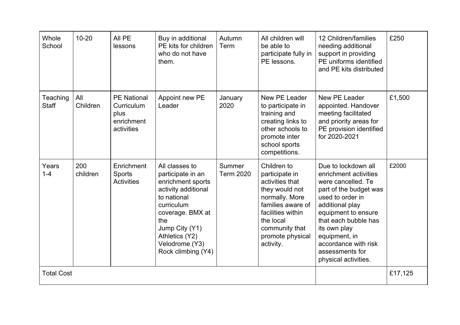| Whole<br>School          | $10 - 20$       | All PE<br>lessons                                                    | Buy in additional<br>PE kits for children<br>who do not have<br>them.                                                                                                                                               | Autumn<br>Term             | All children will<br>be able to<br>participate fully in<br>PE lessons.                                                                                                                         | 12 Children/families<br>needing additional<br>support in providing<br>PE uniforms identified<br>and PE kits distributed                                                                                                                                                                | £250    |
|--------------------------|-----------------|----------------------------------------------------------------------|---------------------------------------------------------------------------------------------------------------------------------------------------------------------------------------------------------------------|----------------------------|------------------------------------------------------------------------------------------------------------------------------------------------------------------------------------------------|----------------------------------------------------------------------------------------------------------------------------------------------------------------------------------------------------------------------------------------------------------------------------------------|---------|
| Teaching<br><b>Staff</b> | All<br>Children | <b>PE National</b><br>Curriculum<br>plus<br>enrichment<br>activities | Appoint new PE<br>Leader                                                                                                                                                                                            | January<br>2020            | New PE Leader<br>to participate in<br>training and<br>creating links to<br>other schools to<br>promote inter<br>school sports<br>competitions.                                                 | New PE Leader<br>appointed. Handover<br>meeting facilitated<br>and priority areas for<br>PE provision identified<br>for 2020-2021                                                                                                                                                      | £1,500  |
| Years<br>$1 - 4$         | 200<br>children | Enrichment<br>Sports<br><b>Activities</b>                            | All classes to<br>participate in an<br>enrichment sports<br>activity additional<br>to national<br>curriculum<br>coverage. BMX at<br>the<br>Jump City (Y1)<br>Athletics (Y2)<br>Velodrome (Y3)<br>Rock climbing (Y4) | Summer<br><b>Term 2020</b> | Children to<br>participate in<br>activities that<br>they would not<br>normally. More<br>families aware of<br>facilities within<br>the local<br>community that<br>promote physical<br>activity. | Due to lockdown all<br>enrichment activities<br>were cancelled. Te<br>part of the budget was<br>used to order in<br>additional play<br>equipment to ensure<br>that each bubble has<br>its own play<br>equipment, in<br>accordance with risk<br>assessments for<br>physical activities. | £2000   |
| <b>Total Cost</b>        |                 |                                                                      |                                                                                                                                                                                                                     |                            |                                                                                                                                                                                                |                                                                                                                                                                                                                                                                                        | £17,125 |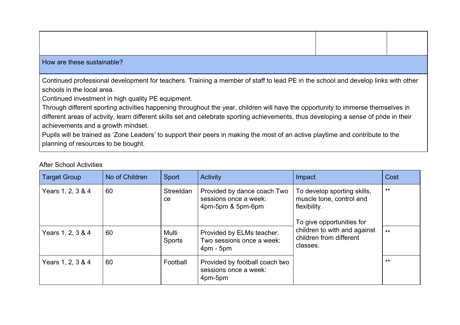#### How are these sustainable?

Continued professional development for teachers. Training a member of staff to lead PE in the school and develop links with other schools in the local area.

Continued investment in high quality PE equipment.

Through different sporting activities happening throughout the year, children will have the opportunity to immerse themselves in different areas of activity, learn different skills set and celebrate sporting achievements, thus developing a sense of pride in their achievements and a growth mindset.

Pupils will be trained as 'Zone Leaders' to support their peers in making the most of an active playtime and contribute to the planning of resources to be bought.

| <b>Target Group</b> | No of Children | Sport                  | <b>Activity</b>                                                           | Impact                                                                                               | Cost  |
|---------------------|----------------|------------------------|---------------------------------------------------------------------------|------------------------------------------------------------------------------------------------------|-------|
| Years 1, 2, 3 & 4   | 60             | Streetdan<br>ce        | Provided by dance coach Two<br>sessions once a week:<br>4pm-5pm & 5pm-6pm | To develop sporting skills,<br>muscle tone, control and<br>flexibility.<br>To give opportunities for | $***$ |
| Years 1, 2, 3 & 4   | 60             | Multi<br><b>Sports</b> | Provided by ELMs teacher.<br>Two sessions once a week:<br>$4pm - 5pm$     | children to with and against<br>children from different<br>classes.                                  | $***$ |
| Years 1, 2, 3 & 4   | 60             | Football               | Provided by football coach two<br>sessions once a week:<br>4pm-5pm        |                                                                                                      | $***$ |

#### After School Activities